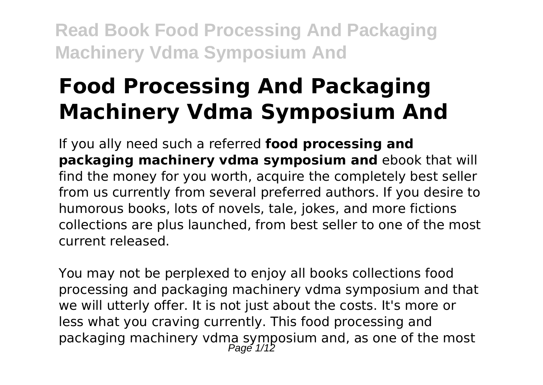# **Food Processing And Packaging Machinery Vdma Symposium And**

If you ally need such a referred **food processing and packaging machinery vdma symposium and** ebook that will find the money for you worth, acquire the completely best seller from us currently from several preferred authors. If you desire to humorous books, lots of novels, tale, jokes, and more fictions collections are plus launched, from best seller to one of the most current released.

You may not be perplexed to enjoy all books collections food processing and packaging machinery vdma symposium and that we will utterly offer. It is not just about the costs. It's more or less what you craving currently. This food processing and packaging machinery vdma symposium and, as one of the most<br>Page 1/12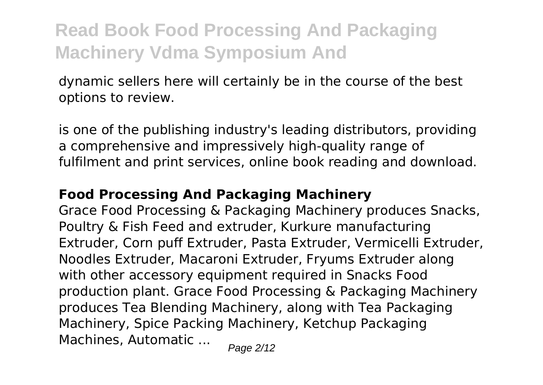dynamic sellers here will certainly be in the course of the best options to review.

is one of the publishing industry's leading distributors, providing a comprehensive and impressively high-quality range of fulfilment and print services, online book reading and download.

### **Food Processing And Packaging Machinery**

Grace Food Processing & Packaging Machinery produces Snacks, Poultry & Fish Feed and extruder, Kurkure manufacturing Extruder, Corn puff Extruder, Pasta Extruder, Vermicelli Extruder, Noodles Extruder, Macaroni Extruder, Fryums Extruder along with other accessory equipment required in Snacks Food production plant. Grace Food Processing & Packaging Machinery produces Tea Blending Machinery, along with Tea Packaging Machinery, Spice Packing Machinery, Ketchup Packaging Machines, Automatic  $\ldots$  Page 2/12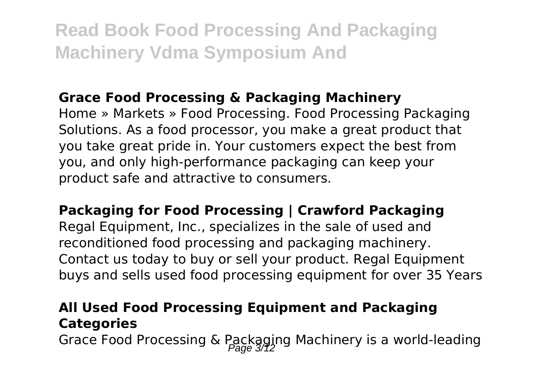### **Grace Food Processing & Packaging Machinery**

Home » Markets » Food Processing. Food Processing Packaging Solutions. As a food processor, you make a great product that you take great pride in. Your customers expect the best from you, and only high-performance packaging can keep your product safe and attractive to consumers.

**Packaging for Food Processing | Crawford Packaging** Regal Equipment, Inc., specializes in the sale of used and reconditioned food processing and packaging machinery. Contact us today to buy or sell your product. Regal Equipment buys and sells used food processing equipment for over 35 Years

### **All Used Food Processing Equipment and Packaging Categories**

Grace Food Processing & Packaging Machinery is a world-leading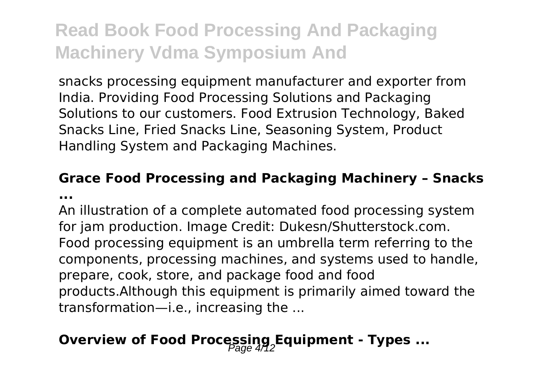snacks processing equipment manufacturer and exporter from India. Providing Food Processing Solutions and Packaging Solutions to our customers. Food Extrusion Technology, Baked Snacks Line, Fried Snacks Line, Seasoning System, Product Handling System and Packaging Machines.

#### **Grace Food Processing and Packaging Machinery – Snacks ...**

An illustration of a complete automated food processing system for jam production. Image Credit: Dukesn/Shutterstock.com. Food processing equipment is an umbrella term referring to the components, processing machines, and systems used to handle, prepare, cook, store, and package food and food products.Although this equipment is primarily aimed toward the transformation—i.e., increasing the ...

### **Overview of Food Processing, Equipment - Types ...**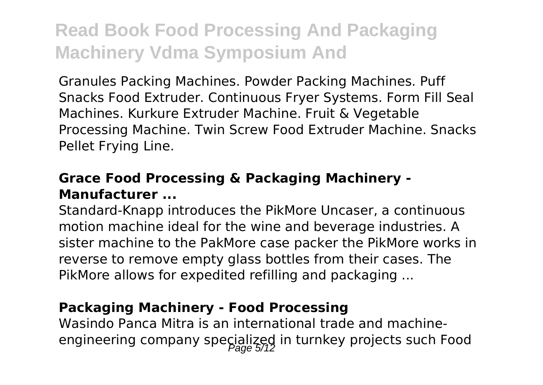Granules Packing Machines. Powder Packing Machines. Puff Snacks Food Extruder. Continuous Fryer Systems. Form Fill Seal Machines. Kurkure Extruder Machine. Fruit & Vegetable Processing Machine. Twin Screw Food Extruder Machine. Snacks Pellet Frying Line.

### **Grace Food Processing & Packaging Machinery - Manufacturer ...**

Standard-Knapp introduces the PikMore Uncaser, a continuous motion machine ideal for the wine and beverage industries. A sister machine to the PakMore case packer the PikMore works in reverse to remove empty glass bottles from their cases. The PikMore allows for expedited refilling and packaging ...

### **Packaging Machinery - Food Processing**

Wasindo Panca Mitra is an international trade and machineengineering company specialized in turnkey projects such Food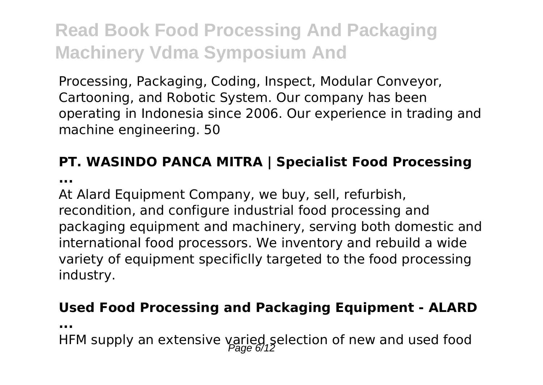Processing, Packaging, Coding, Inspect, Modular Conveyor, Cartooning, and Robotic System. Our company has been operating in Indonesia since 2006. Our experience in trading and machine engineering. 50

### **PT. WASINDO PANCA MITRA | Specialist Food Processing**

**...**

At Alard Equipment Company, we buy, sell, refurbish, recondition, and configure industrial food processing and packaging equipment and machinery, serving both domestic and international food processors. We inventory and rebuild a wide variety of equipment specificlly targeted to the food processing industry.

### **Used Food Processing and Packaging Equipment - ALARD**

**...**

HFM supply an extensive varied selection of new and used food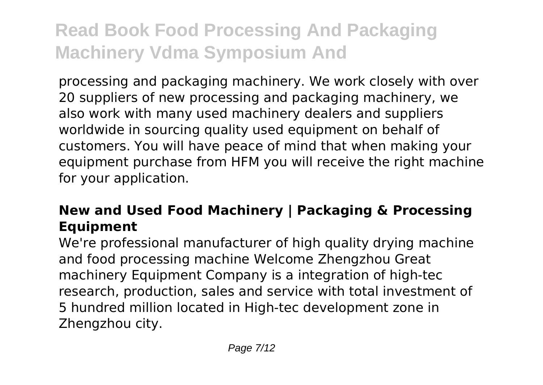processing and packaging machinery. We work closely with over 20 suppliers of new processing and packaging machinery, we also work with many used machinery dealers and suppliers worldwide in sourcing quality used equipment on behalf of customers. You will have peace of mind that when making your equipment purchase from HFM you will receive the right machine for your application.

### **New and Used Food Machinery | Packaging & Processing Equipment**

We're professional manufacturer of high quality drying machine and food processing machine Welcome Zhengzhou Great machinery Equipment Company is a integration of high-tec research, production, sales and service with total investment of 5 hundred million located in High-tec development zone in Zhengzhou city.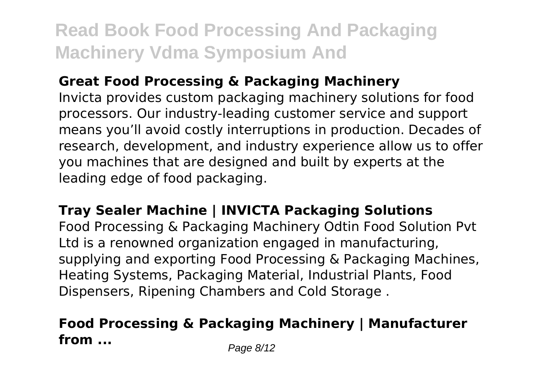### **Great Food Processing & Packaging Machinery**

Invicta provides custom packaging machinery solutions for food processors. Our industry-leading customer service and support means you'll avoid costly interruptions in production. Decades of research, development, and industry experience allow us to offer you machines that are designed and built by experts at the leading edge of food packaging.

### **Tray Sealer Machine | INVICTA Packaging Solutions**

Food Processing & Packaging Machinery Odtin Food Solution Pvt Ltd is a renowned organization engaged in manufacturing, supplying and exporting Food Processing & Packaging Machines, Heating Systems, Packaging Material, Industrial Plants, Food Dispensers, Ripening Chambers and Cold Storage .

### **Food Processing & Packaging Machinery | Manufacturer from ...** Page 8/12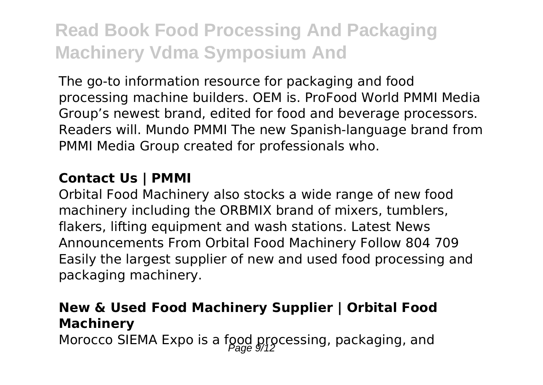The go-to information resource for packaging and food processing machine builders. OEM is. ProFood World PMMI Media Group's newest brand, edited for food and beverage processors. Readers will. Mundo PMMI The new Spanish-language brand from PMMI Media Group created for professionals who.

#### **Contact Us | PMMI**

Orbital Food Machinery also stocks a wide range of new food machinery including the ORBMIX brand of mixers, tumblers, flakers, lifting equipment and wash stations. Latest News Announcements From Orbital Food Machinery Follow 804 709 Easily the largest supplier of new and used food processing and packaging machinery.

### **New & Used Food Machinery Supplier | Orbital Food Machinery**

Morocco SIEMA Expo is a food processing, packaging, and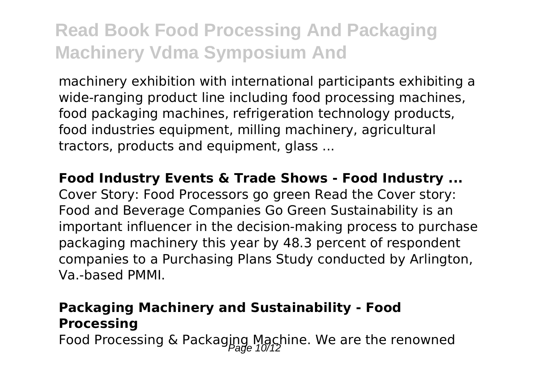machinery exhibition with international participants exhibiting a wide-ranging product line including food processing machines, food packaging machines, refrigeration technology products, food industries equipment, milling machinery, agricultural tractors, products and equipment, glass ...

**Food Industry Events & Trade Shows - Food Industry ...** Cover Story: Food Processors go green Read the Cover story: Food and Beverage Companies Go Green Sustainability is an important influencer in the decision-making process to purchase packaging machinery this year by 48.3 percent of respondent companies to a Purchasing Plans Study conducted by Arlington, Va.-based PMMI.

### **Packaging Machinery and Sustainability - Food Processing**

Food Processing & Packaging Machine. We are the renowned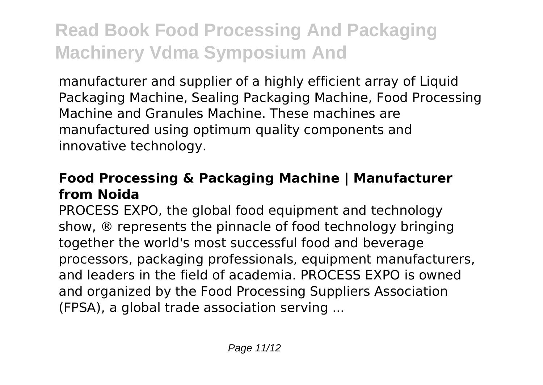manufacturer and supplier of a highly efficient array of Liquid Packaging Machine, Sealing Packaging Machine, Food Processing Machine and Granules Machine. These machines are manufactured using optimum quality components and innovative technology.

### **Food Processing & Packaging Machine | Manufacturer from Noida**

PROCESS EXPO, the global food equipment and technology show, ® represents the pinnacle of food technology bringing together the world's most successful food and beverage processors, packaging professionals, equipment manufacturers, and leaders in the field of academia. PROCESS EXPO is owned and organized by the Food Processing Suppliers Association (FPSA), a global trade association serving ...